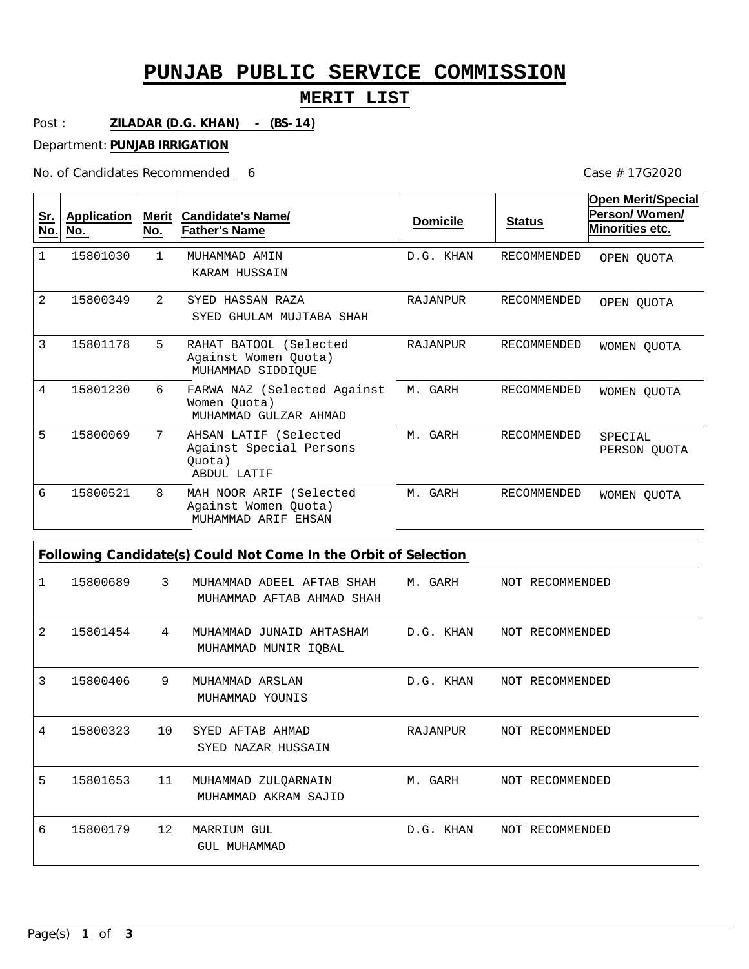# **PUNJAB PUBLIC SERVICE COMMISSION**

### **MERIT LIST**

Post : **ZILADAR (D.G. KHAN) - (BS-14)**

Department: **PUNJAB IRRIGATION**

No. of Candidates Recommended

6 Case # 17G2020

| <u>Sr.</u><br>No. | <b>Application</b><br>No. | Merit $ $<br>No. | <b>Candidate's Name/</b><br><b>Father's Name</b>                          | <b>Domicile</b> | <b>Status</b>      | <b>Open Merit/Special</b><br>Person/Women/<br>Minorities etc. |
|-------------------|---------------------------|------------------|---------------------------------------------------------------------------|-----------------|--------------------|---------------------------------------------------------------|
| $\mathbf{1}$      | 15801030                  | 1.               | MUHAMMAD AMIN<br>KARAM HUSSAIN                                            | D.G. KHAN       | <b>RECOMMENDED</b> | OPEN QUOTA                                                    |
| 2                 | 15800349                  | $\overline{2}$   | SYED HASSAN RAZA<br>GHULAM MUJTABA SHAH<br>SYED                           | <b>RAJANPUR</b> | <b>RECOMMENDED</b> | OPEN OUOTA                                                    |
| 3                 | 15801178                  | 5                | RAHAT BATOOL (Selected<br>Against Women Quota)<br>MUHAMMAD SIDDIOUE       | RAJANPUR        | <b>RECOMMENDED</b> | WOMEN QUOTA                                                   |
| 4                 | 15801230                  | 6                | FARWA NAZ (Selected Against<br>Women Ouota)<br>MUHAMMAD GULZAR AHMAD      | M. GARH         | RECOMMENDED        | WOMEN QUOTA                                                   |
| 5                 | 15800069                  | 7                | AHSAN LATIF (Selected<br>Against Special Persons<br>Ouota)<br>ABDUL LATIF | M. GARH         | RECOMMENDED        | SPECIAL<br>PERSON QUOTA                                       |
| 6                 | 15800521                  | 8                | MAH NOOR ARIF (Selected<br>Against Women Quota)<br>MUHAMMAD ARIF EHSAN    | M. GARH         | RECOMMENDED        | WOMEN OUOTA                                                   |

| 1 | 15800689   | $\overline{3}$ | MUHAMMAD ADEEL AFTAB SHAH M. GARH NOT RECOMMENDED<br>MUHAMMAD AFTAB AHMAD SHAH |           |                           |
|---|------------|----------------|--------------------------------------------------------------------------------|-----------|---------------------------|
| 2 | 15801454 4 |                | MUHAMMAD JUNAID AHTASHAM<br>MUHAMMAD MUNIR IQBAL                               |           | D.G. KHAN NOT RECOMMENDED |
| 3 | 15800406   | 9              | MUHAMMAD ARSLAN<br>MUHAMMAD YOUNIS                                             |           | D.G. KHAN NOT RECOMMENDED |
| 4 | 15800323   | 10             | SYED AFTAB AHMAD<br>SYED NAZAR HUSSAIN                                         |           | RAJANPUR NOT RECOMMENDED  |
| 5 | 15801653   | 11             | MUHAMMAD ZULQARNAIN<br>MUHAMMAD AKRAM SAJID                                    | M. GARH   | NOT RECOMMENDED           |
| 6 | 15800179   | 12             | MARRIUM GUL<br>GUL MUHAMMAD                                                    | D.G. KHAN | NOT RECOMMENDED           |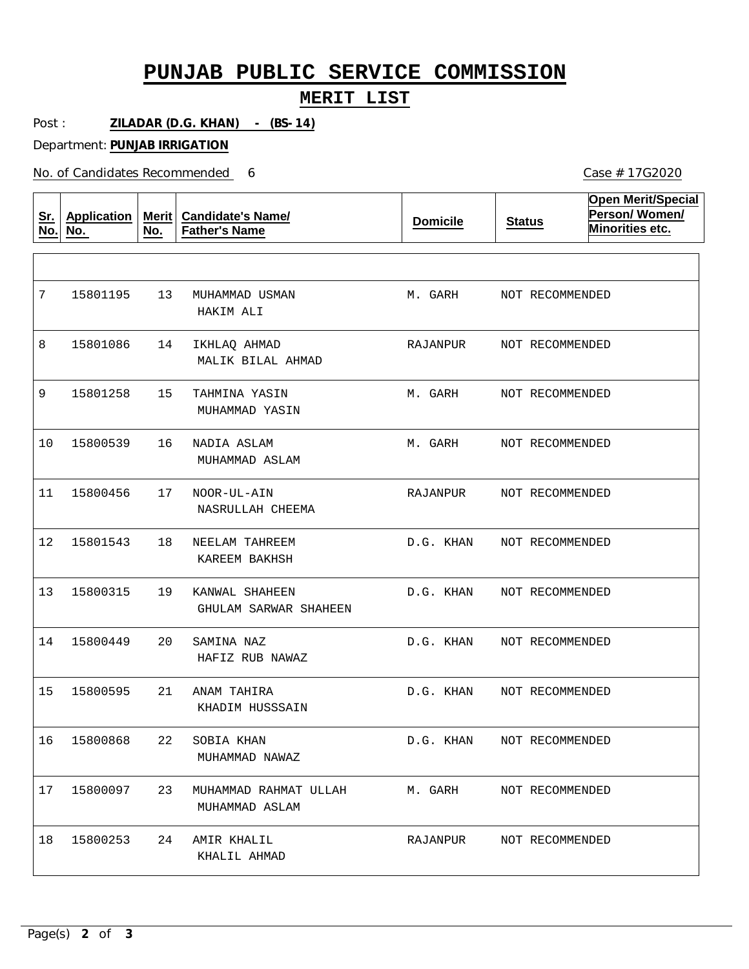# **PUNJAB PUBLIC SERVICE COMMISSION**

#### **MERIT LIST**

Post : **ZILADAR (D.G. KHAN) - (BS-14)**

Department: **PUNJAB IRRIGATION**

No. of Candidates Recommended

| Sr.<br>No. | <b>Application</b><br><u>No.</u> | Merit<br>No. | <b>Candidate's Name/</b><br><b>Father's Name</b> | <b>Domicile</b> | <b>Status</b>   | <b>Open Merit/Special</b><br>Person/Women/<br>Minorities etc. |
|------------|----------------------------------|--------------|--------------------------------------------------|-----------------|-----------------|---------------------------------------------------------------|
|            |                                  |              |                                                  |                 |                 |                                                               |
| 7          | 15801195                         | 13           | MUHAMMAD USMAN<br>HAKIM ALI                      | M. GARH         | NOT RECOMMENDED |                                                               |
| 8          | 15801086                         | 14           | IKHLAQ AHMAD<br>MALIK BILAL AHMAD                | RAJANPUR        | NOT RECOMMENDED |                                                               |
| 9          | 15801258                         | 15           | TAHMINA YASIN<br>MUHAMMAD YASIN                  | M. GARH         | NOT RECOMMENDED |                                                               |
| 10         | 15800539                         | 16           | NADIA ASLAM<br>MUHAMMAD ASLAM                    | M. GARH         | NOT RECOMMENDED |                                                               |
| 11         | 15800456                         | 17           | NOOR-UL-AIN<br>NASRULLAH CHEEMA                  | RAJANPUR        | NOT RECOMMENDED |                                                               |
| 12         | 15801543                         | 18           | NEELAM TAHREEM<br>KAREEM BAKHSH                  | D.G. KHAN       | NOT RECOMMENDED |                                                               |
| 13         | 15800315                         | 19           | KANWAL SHAHEEN<br>GHULAM SARWAR SHAHEEN          | D.G. KHAN       | NOT RECOMMENDED |                                                               |
| 14         | 15800449                         | 20           | SAMINA NAZ<br>HAFIZ RUB NAWAZ                    | D.G. KHAN       | NOT RECOMMENDED |                                                               |
| 15         | 15800595                         | 21           | ANAM TAHIRA<br>KHADIM HUSSSAIN                   | D.G. KHAN       | NOT RECOMMENDED |                                                               |
|            | 16 15800868                      | 22           | SOBIA KHAN<br>MUHAMMAD NAWAZ                     | D.G. KHAN       | NOT RECOMMENDED |                                                               |
| 17         | 15800097                         | 23           | MUHAMMAD RAHMAT ULLAH<br>MUHAMMAD ASLAM          | M. GARH         | NOT RECOMMENDED |                                                               |
| 18         | 15800253                         | 24           | AMIR KHALIL<br>KHALIL AHMAD                      | RAJANPUR        | NOT RECOMMENDED |                                                               |